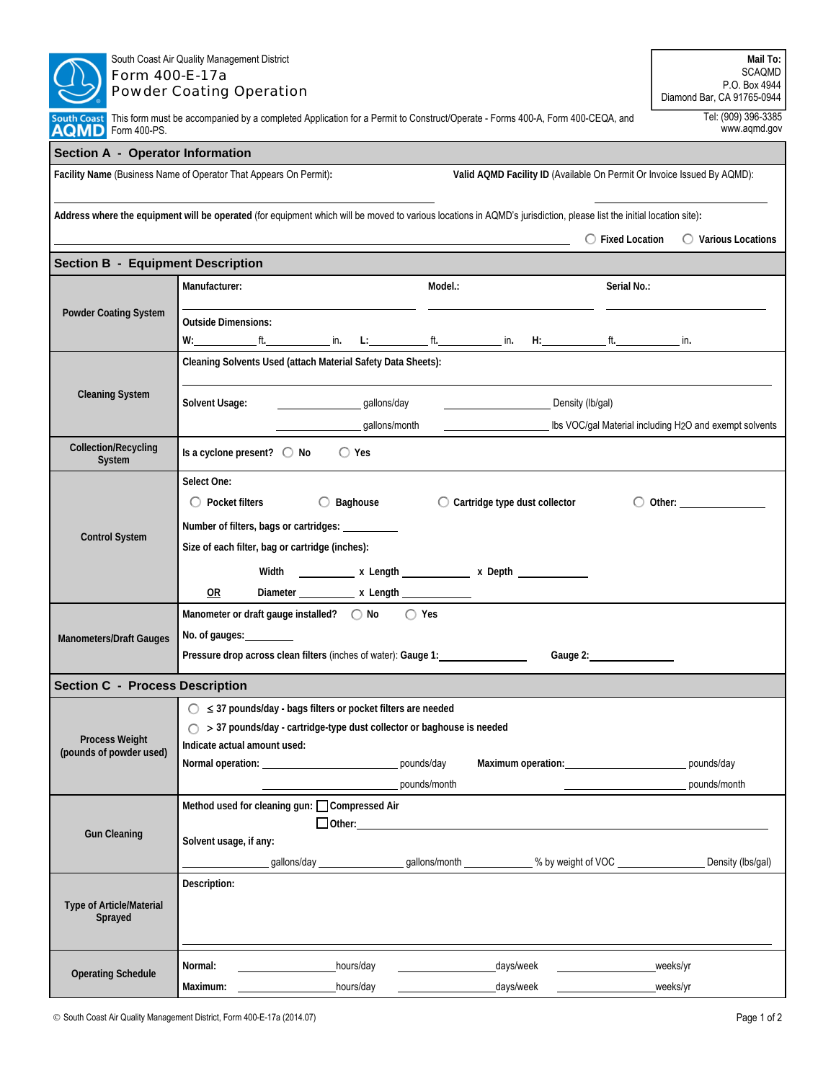| South Coast Air Quality Management District<br>Form 400-E-17a<br><b>Powder Coating Operation</b>                                         | Mail To:<br>SCAQMD<br>P.O. Box 4944                                                                                                                                                                                                                                                                                                                                                              |                                                                     |  |  |  |  |  |  |  |
|------------------------------------------------------------------------------------------------------------------------------------------|--------------------------------------------------------------------------------------------------------------------------------------------------------------------------------------------------------------------------------------------------------------------------------------------------------------------------------------------------------------------------------------------------|---------------------------------------------------------------------|--|--|--|--|--|--|--|
| South Coast This form must be accompanied by a completed Application for a Permit to Construct/Operate - Forms 400-A, Form 400-CEQA, and | Diamond Bar, CA 91765-0944<br>Tel: (909) 396-3385<br>www.aqmd.gov                                                                                                                                                                                                                                                                                                                                |                                                                     |  |  |  |  |  |  |  |
| AQMD Form 400-PS.<br><b>Section A - Operator Information</b>                                                                             |                                                                                                                                                                                                                                                                                                                                                                                                  |                                                                     |  |  |  |  |  |  |  |
|                                                                                                                                          | Facility Name (Business Name of Operator That Appears On Permit):<br>Valid AQMD Facility ID (Available On Permit Or Invoice Issued By AQMD):                                                                                                                                                                                                                                                     |                                                                     |  |  |  |  |  |  |  |
|                                                                                                                                          |                                                                                                                                                                                                                                                                                                                                                                                                  |                                                                     |  |  |  |  |  |  |  |
|                                                                                                                                          | Address where the equipment will be operated (for equipment which will be moved to various locations in AQMD's jurisdiction, please list the initial location site):                                                                                                                                                                                                                             |                                                                     |  |  |  |  |  |  |  |
|                                                                                                                                          | <u> 1989 - Andrea Branden, amerikansk politik (d. 1989)</u>                                                                                                                                                                                                                                                                                                                                      | $\bigcirc$ Fixed Location $\bigcirc$ Various Locations              |  |  |  |  |  |  |  |
| <b>Section B - Equipment Description</b>                                                                                                 |                                                                                                                                                                                                                                                                                                                                                                                                  |                                                                     |  |  |  |  |  |  |  |
|                                                                                                                                          | Manufacturer:<br>Model.:                                                                                                                                                                                                                                                                                                                                                                         | Serial No.:                                                         |  |  |  |  |  |  |  |
| <b>Powder Coating System</b>                                                                                                             | <b>Outside Dimensions:</b><br>$W: \begin{picture}(150,10) \put(0,0){\vector(1,0){100}} \put(15,0){\vector(1,0){100}} \put(15,0){\vector(1,0){100}} \put(15,0){\vector(1,0){100}} \put(15,0){\vector(1,0){100}} \put(15,0){\vector(1,0){100}} \put(15,0){\vector(1,0){100}} \put(15,0){\vector(1,0){100}} \put(15,0){\vector(1,0){100}} \put(15,0){\vector(1,0){100}} \put(15,0){\vector(1,0){10$ |                                                                     |  |  |  |  |  |  |  |
|                                                                                                                                          | Cleaning Solvents Used (attach Material Safety Data Sheets):                                                                                                                                                                                                                                                                                                                                     |                                                                     |  |  |  |  |  |  |  |
|                                                                                                                                          |                                                                                                                                                                                                                                                                                                                                                                                                  |                                                                     |  |  |  |  |  |  |  |
| <b>Cleaning System</b>                                                                                                                   | gallons/day<br>Solvent Usage:<br>Density (lb/gal)                                                                                                                                                                                                                                                                                                                                                |                                                                     |  |  |  |  |  |  |  |
|                                                                                                                                          | gallons/month                                                                                                                                                                                                                                                                                                                                                                                    | Ibs VOC/gal Material including H <sub>2</sub> O and exempt solvents |  |  |  |  |  |  |  |
| <b>Collection/Recycling</b><br>System                                                                                                    | Is a cyclone present? $\bigcirc$ No $\bigcirc$ Yes                                                                                                                                                                                                                                                                                                                                               |                                                                     |  |  |  |  |  |  |  |
|                                                                                                                                          | Select One:                                                                                                                                                                                                                                                                                                                                                                                      |                                                                     |  |  |  |  |  |  |  |
|                                                                                                                                          | $\bigcirc$ Baghouse<br>$\bigcirc$ Pocket filters<br>$\bigcirc$ Cartridge type dust collector                                                                                                                                                                                                                                                                                                     |                                                                     |  |  |  |  |  |  |  |
|                                                                                                                                          | Number of filters, bags or cartridges: __________                                                                                                                                                                                                                                                                                                                                                |                                                                     |  |  |  |  |  |  |  |
| <b>Control System</b>                                                                                                                    | Size of each filter, bag or cartridge (inches):                                                                                                                                                                                                                                                                                                                                                  |                                                                     |  |  |  |  |  |  |  |
|                                                                                                                                          | Width _____________ x Length ______________ x Depth ______________                                                                                                                                                                                                                                                                                                                               |                                                                     |  |  |  |  |  |  |  |
|                                                                                                                                          | 0R<br>Diameter ____________ x Length _____________                                                                                                                                                                                                                                                                                                                                               |                                                                     |  |  |  |  |  |  |  |
|                                                                                                                                          | Manometer or draft gauge installed? ○ No ○ Yes                                                                                                                                                                                                                                                                                                                                                   |                                                                     |  |  |  |  |  |  |  |
| <b>Manometers/Draft Gauges</b>                                                                                                           | No. of gauges:                                                                                                                                                                                                                                                                                                                                                                                   |                                                                     |  |  |  |  |  |  |  |
|                                                                                                                                          | Pressure drop across clean filters (inches of water): Gauge 1:<br>Gauge 2:                                                                                                                                                                                                                                                                                                                       |                                                                     |  |  |  |  |  |  |  |
| <b>Section C - Process Description</b>                                                                                                   |                                                                                                                                                                                                                                                                                                                                                                                                  |                                                                     |  |  |  |  |  |  |  |
|                                                                                                                                          | $\bigcirc$ $\leq$ 37 pounds/day - bags filters or pocket filters are needed                                                                                                                                                                                                                                                                                                                      |                                                                     |  |  |  |  |  |  |  |
| <b>Process Weight</b>                                                                                                                    | > 37 pounds/day - cartridge-type dust collector or baghouse is needed                                                                                                                                                                                                                                                                                                                            |                                                                     |  |  |  |  |  |  |  |
| (pounds of powder used)                                                                                                                  | Indicate actual amount used:                                                                                                                                                                                                                                                                                                                                                                     |                                                                     |  |  |  |  |  |  |  |
|                                                                                                                                          | Normal operation: ___________________________________ pounds/day<br>Maximum operation: Maximum operation:                                                                                                                                                                                                                                                                                        | pounds/day                                                          |  |  |  |  |  |  |  |
|                                                                                                                                          | pounds/month                                                                                                                                                                                                                                                                                                                                                                                     | pounds/month                                                        |  |  |  |  |  |  |  |
|                                                                                                                                          | Method used for cleaning gun: Compressed Air                                                                                                                                                                                                                                                                                                                                                     |                                                                     |  |  |  |  |  |  |  |
| <b>Gun Cleaning</b>                                                                                                                      | Solvent usage, if any:                                                                                                                                                                                                                                                                                                                                                                           |                                                                     |  |  |  |  |  |  |  |
|                                                                                                                                          | _______________gallons/day ___________________gallons/month _______________% by weight of VOC ________________                                                                                                                                                                                                                                                                                   | Density (lbs/gal)                                                   |  |  |  |  |  |  |  |
|                                                                                                                                          | Description:                                                                                                                                                                                                                                                                                                                                                                                     |                                                                     |  |  |  |  |  |  |  |
| Type of Article/Material<br>Sprayed                                                                                                      |                                                                                                                                                                                                                                                                                                                                                                                                  |                                                                     |  |  |  |  |  |  |  |
| <b>Operating Schedule</b>                                                                                                                | _days/week<br>Normal:<br>hours/day                                                                                                                                                                                                                                                                                                                                                               | weeks/yr                                                            |  |  |  |  |  |  |  |
|                                                                                                                                          | hours/day<br>_days/week                                                                                                                                                                                                                                                                                                                                                                          | weeks/yr                                                            |  |  |  |  |  |  |  |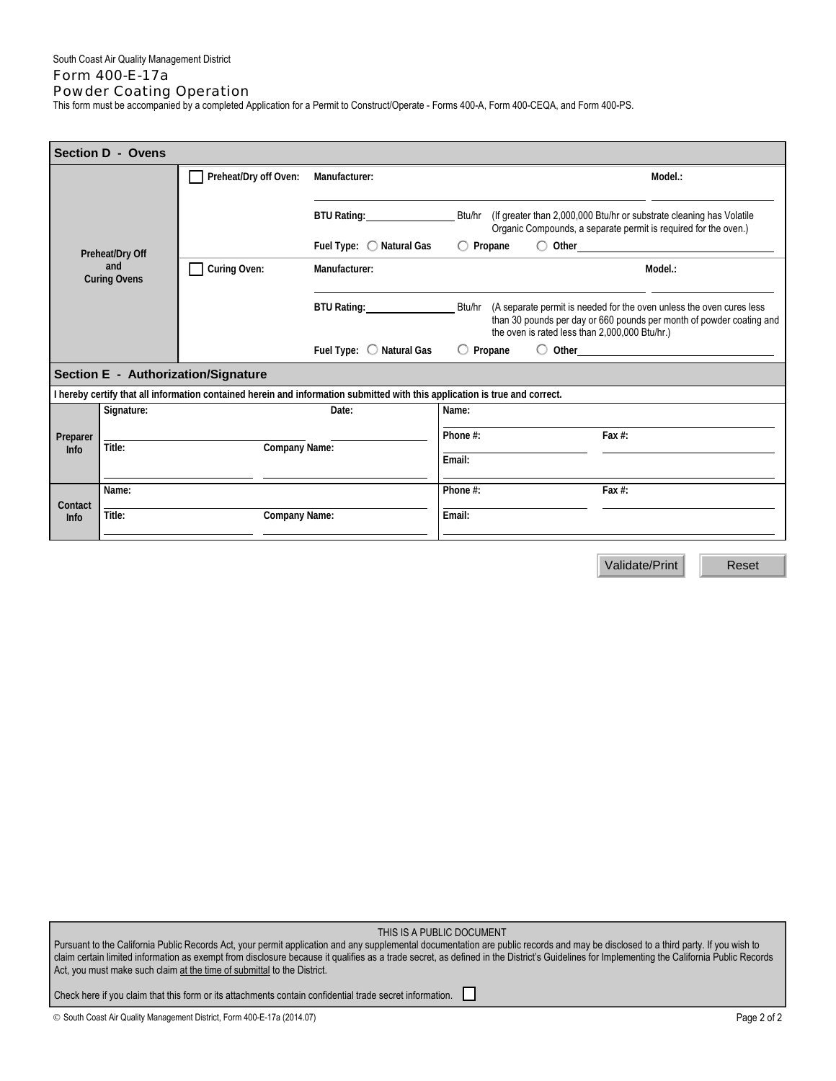## Form 400-E-17a Powder Coating Operation

This form must be accompanied by a completed Application for a Permit to Construct/Operate - Forms 400-A, Form 400-CEQA, and Form 400-PS.

| <b>Section D - Ovens</b>                                                                                                    |              |                                     |                          |                                                                                                                                                                                                       |  |  |  |
|-----------------------------------------------------------------------------------------------------------------------------|--------------|-------------------------------------|--------------------------|-------------------------------------------------------------------------------------------------------------------------------------------------------------------------------------------------------|--|--|--|
|                                                                                                                             |              | Preheat/Dry off Oven:               | Manufacturer:            | Model.:                                                                                                                                                                                               |  |  |  |
| Preheat/Dry Off<br>and<br><b>Curing Ovens</b>                                                                               |              |                                     | BTU Rating: 2000         | (If greater than 2,000,000 Btu/hr or substrate cleaning has Volatile<br>Btu/hr<br>Organic Compounds, a separate permit is required for the oven.)                                                     |  |  |  |
|                                                                                                                             |              |                                     | Fuel Type: ◯ Natural Gas | $\bigcirc$ Propane                                                                                                                                                                                    |  |  |  |
|                                                                                                                             | Curing Oven: | Manufacturer:                       | Model.:                  |                                                                                                                                                                                                       |  |  |  |
|                                                                                                                             |              |                                     | BTU Rating: 2000         | Btu/hr (A separate permit is needed for the oven unless the oven cures less<br>than 30 pounds per day or 660 pounds per month of powder coating and<br>the oven is rated less than 2,000,000 Btu/hr.) |  |  |  |
|                                                                                                                             |              |                                     | Fuel Type: O Natural Gas | $\bigcirc$ Other $\qquad \qquad$ 0.11<br>$\circ$ Propane                                                                                                                                              |  |  |  |
|                                                                                                                             |              | Section E - Authorization/Signature |                          |                                                                                                                                                                                                       |  |  |  |
| I hereby certify that all information contained herein and information submitted with this application is true and correct. |              |                                     |                          |                                                                                                                                                                                                       |  |  |  |
|                                                                                                                             | Signature:   | Date:<br><b>Company Name:</b>       |                          | Name:                                                                                                                                                                                                 |  |  |  |
| Preparer<br><b>Info</b>                                                                                                     |              |                                     |                          | Phone #:<br>Fax $#$ :                                                                                                                                                                                 |  |  |  |
|                                                                                                                             | Title:       |                                     |                          | Email:                                                                                                                                                                                                |  |  |  |
|                                                                                                                             | Name:        |                                     |                          | Phone #:<br>Fax $#$ :                                                                                                                                                                                 |  |  |  |
| Contact<br><b>Info</b>                                                                                                      | Title:       | <b>Company Name:</b>                |                          | Email:                                                                                                                                                                                                |  |  |  |
|                                                                                                                             |              |                                     |                          |                                                                                                                                                                                                       |  |  |  |

Validate/Print **Reset** 

THIS IS A PUBLIC DOCUMENT

Pursuant to the California Public Records Act, your permit application and any supplemental documentation are public records and may be disclosed to a third party. If you wish to claim certain limited information as exempt from disclosure because it qualifies as a trade secret, as defined in the District's Guidelines for Implementing the California Public Records Act, you must make such claim at the time of submittal to the District.

Check here if you claim that this form or its attachments contain confidential trade secret information.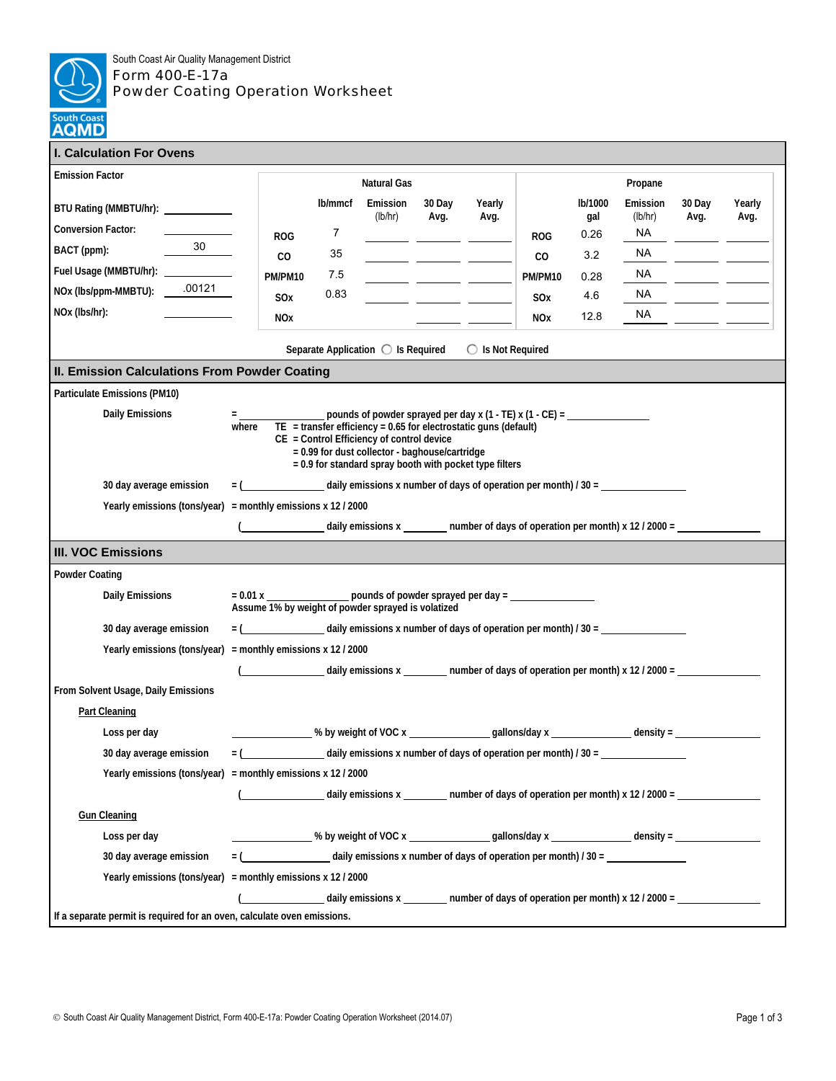

## South Coast Air Quality Management District Form 400-E-17a Powder Coating Operation Worksheet

| I. Calculation For Ovens                                                                                                                                                                                                                                                                                                                                            |                                                                                           |                                                                                                                                     |                                                                                                                     |                                                                                                                                                                                                                                      |                |            |                        |                            |                                         |                |
|---------------------------------------------------------------------------------------------------------------------------------------------------------------------------------------------------------------------------------------------------------------------------------------------------------------------------------------------------------------------|-------------------------------------------------------------------------------------------|-------------------------------------------------------------------------------------------------------------------------------------|---------------------------------------------------------------------------------------------------------------------|--------------------------------------------------------------------------------------------------------------------------------------------------------------------------------------------------------------------------------------|----------------|------------|------------------------|----------------------------|-----------------------------------------|----------------|
| <b>Emission Factor</b>                                                                                                                                                                                                                                                                                                                                              |                                                                                           | <b>Natural Gas</b>                                                                                                                  |                                                                                                                     |                                                                                                                                                                                                                                      |                | Propane    |                        |                            |                                         |                |
| BTU Rating (MMBTU/hr): _____________<br><b>Conversion Factor:</b>                                                                                                                                                                                                                                                                                                   | <b>ROG</b>                                                                                | lb/mmcf<br>$\overline{7}$                                                                                                           | Emission<br>(lb/hr)                                                                                                 | 30 Day<br>Avg.                                                                                                                                                                                                                       | Yearly<br>Avg. | <b>ROG</b> | lb/1000<br>gal<br>0.26 | Emission<br>(lb/hr)<br>NA. | 30 Day<br>Avg.                          | Yearly<br>Avg. |
| 30<br>BACT (ppm):                                                                                                                                                                                                                                                                                                                                                   | CO                                                                                        | 35                                                                                                                                  |                                                                                                                     |                                                                                                                                                                                                                                      |                | CO         | 3.2                    | NA                         |                                         |                |
| Fuel Usage (MMBTU/hr): ____________                                                                                                                                                                                                                                                                                                                                 | PM/PM10                                                                                   | 7.5                                                                                                                                 |                                                                                                                     |                                                                                                                                                                                                                                      |                | PM/PM10    | 0.28                   | <b>NA</b>                  |                                         |                |
| NOx (lbs/ppm-MMBTU): _ .00121                                                                                                                                                                                                                                                                                                                                       | SO <sub>x</sub>                                                                           | 0.83                                                                                                                                |                                                                                                                     | <u>and the state of the state of the state of the state of the state of the state of the state of the state of the state of the state of the state of the state of the state of the state of the state of the state of the state</u> |                | SOx        | 4.6                    | NA .                       | <u> 1999 - Alban Storman, ameri</u> kan |                |
| NOx (lbs/hr):                                                                                                                                                                                                                                                                                                                                                       | <b>NOx</b>                                                                                |                                                                                                                                     |                                                                                                                     |                                                                                                                                                                                                                                      |                | <b>NOx</b> | 12.8                   | NA.                        |                                         |                |
| Separate Application $\bigcirc$ Is Required<br>$\bigcirc$ Is Not Required                                                                                                                                                                                                                                                                                           |                                                                                           |                                                                                                                                     |                                                                                                                     |                                                                                                                                                                                                                                      |                |            |                        |                            |                                         |                |
| II. Emission Calculations From Powder Coating                                                                                                                                                                                                                                                                                                                       |                                                                                           |                                                                                                                                     |                                                                                                                     |                                                                                                                                                                                                                                      |                |            |                        |                            |                                         |                |
| Particulate Emissions (PM10)                                                                                                                                                                                                                                                                                                                                        |                                                                                           |                                                                                                                                     |                                                                                                                     |                                                                                                                                                                                                                                      |                |            |                        |                            |                                         |                |
| pounds of powder sprayed per day x (1 - TE) x (1 - CE) = $\frac{1}{2}$<br><b>Daily Emissions</b><br><b>Figure 1999</b><br>where<br>$TE$ = transfer efficiency = 0.65 for electrostatic guns (default)<br>$CE = Control$ Efficiency of control device<br>= 0.99 for dust collector - baghouse/cartridge<br>$= 0.9$ for standard spray booth with pocket type filters |                                                                                           |                                                                                                                                     |                                                                                                                     |                                                                                                                                                                                                                                      |                |            |                        |                            |                                         |                |
| 30 day average emission                                                                                                                                                                                                                                                                                                                                             | $=$ $($ daily emissions x number of days of operation per month) $/$ 30 =                 |                                                                                                                                     |                                                                                                                     |                                                                                                                                                                                                                                      |                |            |                        |                            |                                         |                |
| Yearly emissions (tons/year) = monthly emissions $x$ 12 / 2000                                                                                                                                                                                                                                                                                                      |                                                                                           |                                                                                                                                     |                                                                                                                     |                                                                                                                                                                                                                                      |                |            |                        |                            |                                         |                |
| daily emissions $x_1$ number of days of operation per month) x 12 / 2000 = __________________________                                                                                                                                                                                                                                                               |                                                                                           |                                                                                                                                     |                                                                                                                     |                                                                                                                                                                                                                                      |                |            |                        |                            |                                         |                |
| <b>III. VOC Emissions</b>                                                                                                                                                                                                                                                                                                                                           |                                                                                           |                                                                                                                                     |                                                                                                                     |                                                                                                                                                                                                                                      |                |            |                        |                            |                                         |                |
| <b>Powder Coating</b>                                                                                                                                                                                                                                                                                                                                               |                                                                                           |                                                                                                                                     |                                                                                                                     |                                                                                                                                                                                                                                      |                |            |                        |                            |                                         |                |
| <b>Daily Emissions</b>                                                                                                                                                                                                                                                                                                                                              |                                                                                           | $= 0.01 x$ $\qquad \qquad$ pounds of powder sprayed per day = $\qquad \qquad$<br>Assume 1% by weight of powder sprayed is volatized |                                                                                                                     |                                                                                                                                                                                                                                      |                |            |                        |                            |                                         |                |
| 30 day average emission                                                                                                                                                                                                                                                                                                                                             |                                                                                           |                                                                                                                                     |                                                                                                                     |                                                                                                                                                                                                                                      |                |            |                        |                            |                                         |                |
|                                                                                                                                                                                                                                                                                                                                                                     | Yearly emissions (tons/year) = monthly emissions $x$ 12 / 2000                            |                                                                                                                                     |                                                                                                                     |                                                                                                                                                                                                                                      |                |            |                        |                            |                                         |                |
|                                                                                                                                                                                                                                                                                                                                                                     |                                                                                           |                                                                                                                                     |                                                                                                                     |                                                                                                                                                                                                                                      |                |            |                        |                            |                                         |                |
| From Solvent Usage, Daily Emissions                                                                                                                                                                                                                                                                                                                                 |                                                                                           |                                                                                                                                     |                                                                                                                     |                                                                                                                                                                                                                                      |                |            |                        |                            |                                         |                |
| <b>Part Cleaning</b>                                                                                                                                                                                                                                                                                                                                                |                                                                                           |                                                                                                                                     |                                                                                                                     |                                                                                                                                                                                                                                      |                |            |                        |                            |                                         |                |
| Loss per day                                                                                                                                                                                                                                                                                                                                                        |                                                                                           |                                                                                                                                     | % by weight of VOC x $\qquad \qquad \qquad$ gallons/day x $\qquad \qquad$ density =                                 |                                                                                                                                                                                                                                      |                |            |                        |                            |                                         |                |
| 30 day average emission                                                                                                                                                                                                                                                                                                                                             | daily emissions x number of days of operation per month) / 30 = ________________<br>$= ($ |                                                                                                                                     |                                                                                                                     |                                                                                                                                                                                                                                      |                |            |                        |                            |                                         |                |
| Yearly emissions (tons/year) = monthly emissions x 12 / 2000                                                                                                                                                                                                                                                                                                        |                                                                                           |                                                                                                                                     |                                                                                                                     |                                                                                                                                                                                                                                      |                |            |                        |                            |                                         |                |
|                                                                                                                                                                                                                                                                                                                                                                     |                                                                                           |                                                                                                                                     | $\mu$ daily emissions x equation per month x 12 / 2000 =                                                            |                                                                                                                                                                                                                                      |                |            |                        |                            |                                         |                |
| <b>Gun Cleaning</b>                                                                                                                                                                                                                                                                                                                                                 |                                                                                           |                                                                                                                                     |                                                                                                                     |                                                                                                                                                                                                                                      |                |            |                        |                            |                                         |                |
| Loss per day                                                                                                                                                                                                                                                                                                                                                        |                                                                                           |                                                                                                                                     |                                                                                                                     |                                                                                                                                                                                                                                      |                |            |                        |                            |                                         |                |
| 30 day average emission                                                                                                                                                                                                                                                                                                                                             | daily emissions x number of days of operation per month) / 30 =                           |                                                                                                                                     |                                                                                                                     |                                                                                                                                                                                                                                      |                |            |                        |                            |                                         |                |
| Yearly emissions (tons/year) = monthly emissions $x$ 12 / 2000                                                                                                                                                                                                                                                                                                      |                                                                                           |                                                                                                                                     |                                                                                                                     |                                                                                                                                                                                                                                      |                |            |                        |                            |                                         |                |
|                                                                                                                                                                                                                                                                                                                                                                     |                                                                                           |                                                                                                                                     | $\blacksquare$ daily emissions x $\blacksquare$ number of days of operation per month) x 12 / 2000 = $\blacksquare$ |                                                                                                                                                                                                                                      |                |            |                        |                            |                                         |                |
| If a separate permit is required for an oven, calculate oven emissions.                                                                                                                                                                                                                                                                                             |                                                                                           |                                                                                                                                     |                                                                                                                     |                                                                                                                                                                                                                                      |                |            |                        |                            |                                         |                |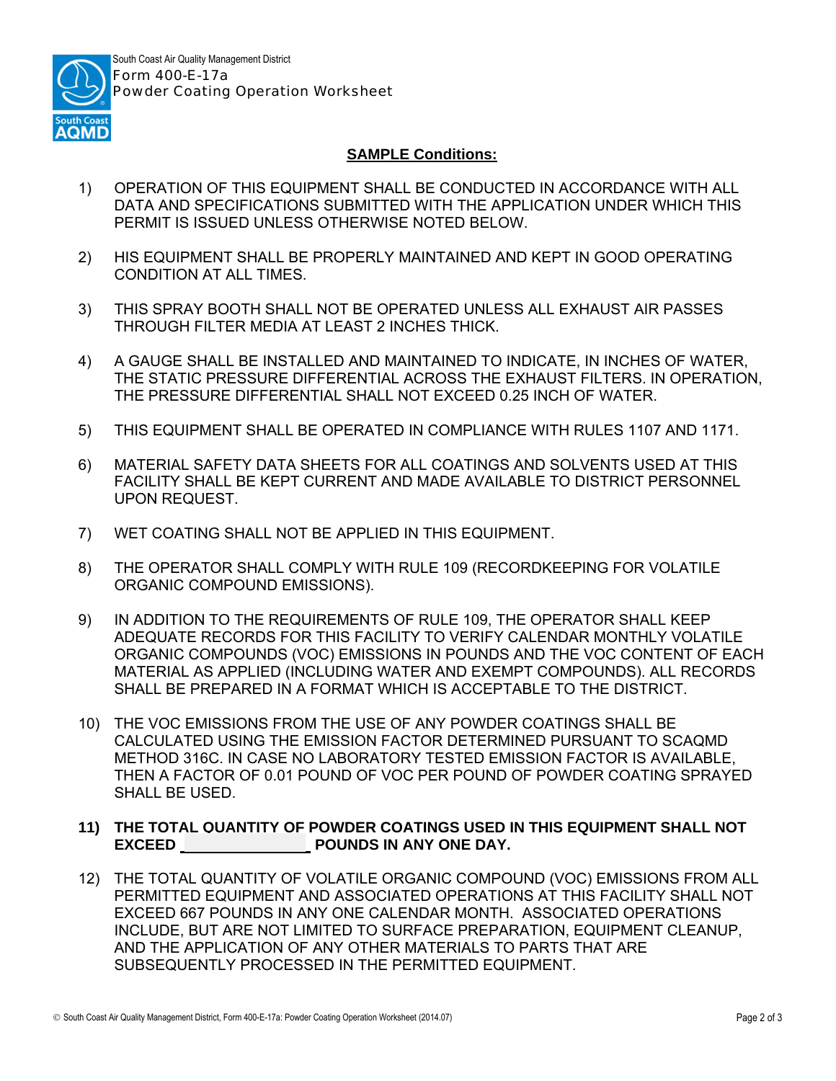

## **SAMPLE Conditions:**

- 1) OPERATION OF THIS EQUIPMENT SHALL BE CONDUCTED IN ACCORDANCE WITH ALL DATA AND SPECIFICATIONS SUBMITTED WITH THE APPLICATION UNDER WHICH THIS PERMIT IS ISSUED UNLESS OTHERWISE NOTED BELOW.
- 2) HIS EQUIPMENT SHALL BE PROPERLY MAINTAINED AND KEPT IN GOOD OPERATING CONDITION AT ALL TIMES.
- 3) THIS SPRAY BOOTH SHALL NOT BE OPERATED UNLESS ALL EXHAUST AIR PASSES THROUGH FILTER MEDIA AT LEAST 2 INCHES THICK.
- 4) A GAUGE SHALL BE INSTALLED AND MAINTAINED TO INDICATE, IN INCHES OF WATER, THE STATIC PRESSURE DIFFERENTIAL ACROSS THE EXHAUST FILTERS. IN OPERATION, THE PRESSURE DIFFERENTIAL SHALL NOT EXCEED 0.25 INCH OF WATER.
- 5) THIS EQUIPMENT SHALL BE OPERATED IN COMPLIANCE WITH RULES 1107 AND 1171.
- 6) MATERIAL SAFETY DATA SHEETS FOR ALL COATINGS AND SOLVENTS USED AT THIS FACILITY SHALL BE KEPT CURRENT AND MADE AVAILABLE TO DISTRICT PERSONNEL UPON REQUEST.
- 7) WET COATING SHALL NOT BE APPLIED IN THIS EQUIPMENT.
- 8) THE OPERATOR SHALL COMPLY WITH RULE 109 (RECORDKEEPING FOR VOLATILE ORGANIC COMPOUND EMISSIONS).
- 9) IN ADDITION TO THE REQUIREMENTS OF RULE 109, THE OPERATOR SHALL KEEP ADEQUATE RECORDS FOR THIS FACILITY TO VERIFY CALENDAR MONTHLY VOLATILE ORGANIC COMPOUNDS (VOC) EMISSIONS IN POUNDS AND THE VOC CONTENT OF EACH MATERIAL AS APPLIED (INCLUDING WATER AND EXEMPT COMPOUNDS). ALL RECORDS SHALL BE PREPARED IN A FORMAT WHICH IS ACCEPTABLE TO THE DISTRICT.
- 10) THE VOC EMISSIONS FROM THE USE OF ANY POWDER COATINGS SHALL BE CALCULATED USING THE EMISSION FACTOR DETERMINED PURSUANT TO SCAQMD METHOD 316C. IN CASE NO LABORATORY TESTED EMISSION FACTOR IS AVAILABLE, THEN A FACTOR OF 0.01 POUND OF VOC PER POUND OF POWDER COATING SPRAYED SHALL BE USED.

## **11) THE TOTAL QUANTITY OF POWDER COATINGS USED IN THIS EQUIPMENT SHALL NOT EXCEED POUNDS IN ANY ONE DAY.**

12) THE TOTAL QUANTITY OF VOLATILE ORGANIC COMPOUND (VOC) EMISSIONS FROM ALL PERMITTED EQUIPMENT AND ASSOCIATED OPERATIONS AT THIS FACILITY SHALL NOT EXCEED 667 POUNDS IN ANY ONE CALENDAR MONTH. ASSOCIATED OPERATIONS INCLUDE, BUT ARE NOT LIMITED TO SURFACE PREPARATION, EQUIPMENT CLEANUP, AND THE APPLICATION OF ANY OTHER MATERIALS TO PARTS THAT ARE SUBSEQUENTLY PROCESSED IN THE PERMITTED EQUIPMENT.